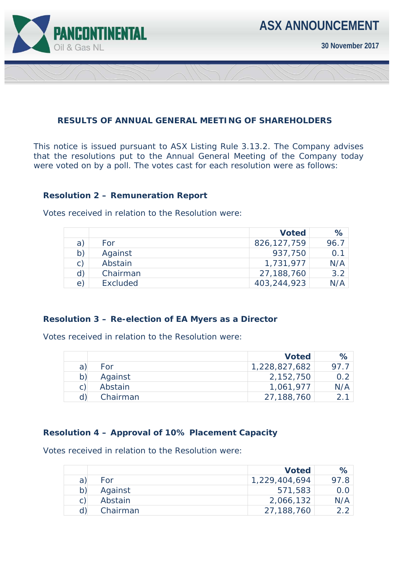

**30 November 2017** 

### **RESULTS OF ANNUAL GENERAL MEETING OF SHAREHOLDERS**

This notice is issued pursuant to ASX Listing Rule 3.13.2. The Company advises that the resolutions put to the Annual General Meeting of the Company today were voted on by a poll. The votes cast for each resolution were as follows:

## **Resolution 2 – Remuneration Report**

Votes received in relation to the Resolution were:

|                |          | <b>Voted</b>  | %    |
|----------------|----------|---------------|------|
| a)             | For      | 826, 127, 759 | 96.7 |
| b)             | Against  | 937,750       | 0.1  |
| $\mathsf{C}$ ) | Abstain  | 1,731,977     | N/A  |
| d)             | Chairman | 27,188,760    | 3.2  |
| $\Theta$       | Excluded | 403,244,923   | N/A  |

### **Resolution 3 – Re-election of EA Myers as a Director**

Votes received in relation to the Resolution were:

|    |          | <b>Voted</b>  | $\%$ |
|----|----------|---------------|------|
| a  | For      | 1,228,827,682 | 97.7 |
| b) | Against  | 2,152,750     |      |
| C) | Abstain  | 1,061,977     | N/A  |
|    | Chairman | 27,188,760    |      |

### **Resolution 4 – Approval of 10% Placement Capacity**

Votes received in relation to the Resolution were:

|   |          | <b>Voted</b>  | $\%$          |
|---|----------|---------------|---------------|
| a | For      | 1,229,404,694 | 97.8          |
|   | Against  | 571,583       | $0.0^{\circ}$ |
|   | Abstain  | 2,066,132     | N/A           |
|   | Chairman | 27,188,760    |               |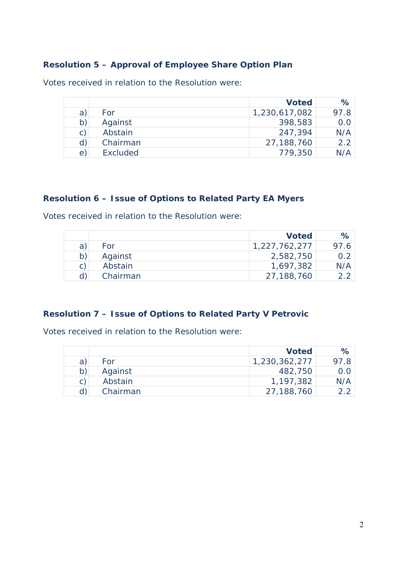# **Resolution 5 – Approval of Employee Share Option Plan**

Votes received in relation to the Resolution were:

|              |                 | <b>Voted</b>  | %    |
|--------------|-----------------|---------------|------|
| a            | For             | 1,230,617,082 | 97.8 |
| b)           | Against         | 398,583       | 0.0  |
| $\mathsf{C}$ | Abstain         | 247,394       | N/A  |
| d)           | Chairman        | 27,188,760    | 2.2  |
| $\epsilon$   | <b>Excluded</b> | 779,350       |      |

## **Resolution 6 – Issue of Options to Related Party EA Myers**

Votes received in relation to the Resolution were:

|    |          | <b>Voted</b>  | $\%$ |
|----|----------|---------------|------|
| a: | For      | 1,227,762,277 | 97.6 |
|    | Against  | 2,582,750     | 0.2  |
|    | Abstain  | 1,697,382     | N/A  |
|    | Chairman | 27,188,760    | つつ   |

## **Resolution 7 – Issue of Options to Related Party V Petrovic**

Votes received in relation to the Resolution were:

|    |          | <b>Voted</b>  | ℅    |
|----|----------|---------------|------|
| a  | For      | 1,230,362,277 | 97.8 |
|    | Against  | 482,750       | 0.0  |
| C. | Abstain  | 1,197,382     | N/A  |
|    | Chairman | 27,188,760    |      |